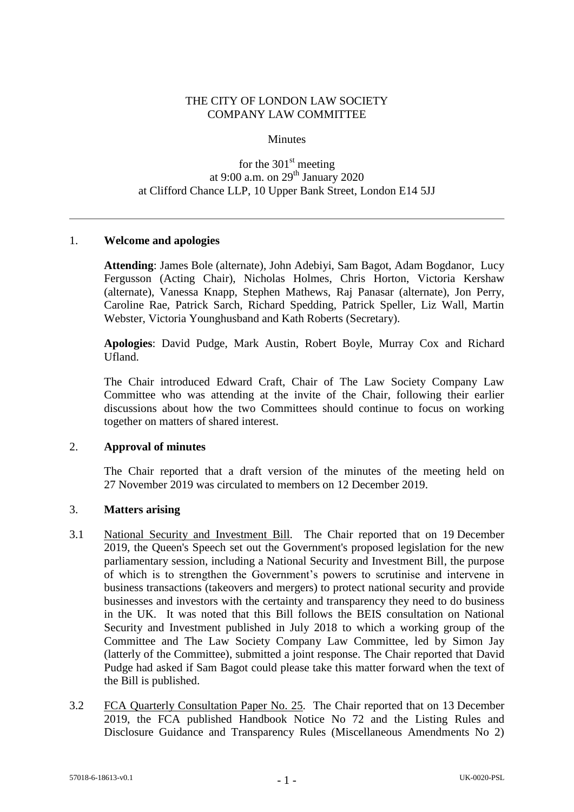## THE CITY OF LONDON LAW SOCIETY COMPANY LAW COMMITTEE

#### **Minutes**

# for the  $301<sup>st</sup>$  meeting at 9:00 a.m. on  $29<sup>th</sup>$  January 2020 at Clifford Chance LLP, 10 Upper Bank Street, London E14 5JJ

### 1. **Welcome and apologies**

**Attending**: James Bole (alternate), John Adebiyi, Sam Bagot, Adam Bogdanor, Lucy Fergusson (Acting Chair), Nicholas Holmes, Chris Horton, Victoria Kershaw (alternate), Vanessa Knapp, Stephen Mathews, Raj Panasar (alternate), Jon Perry, Caroline Rae, Patrick Sarch, Richard Spedding, Patrick Speller, Liz Wall, Martin Webster, Victoria Younghusband and Kath Roberts (Secretary).

**Apologies**: David Pudge, Mark Austin, Robert Boyle, Murray Cox and Richard Ufland.

The Chair introduced Edward Craft, Chair of The Law Society Company Law Committee who was attending at the invite of the Chair, following their earlier discussions about how the two Committees should continue to focus on working together on matters of shared interest.

#### 2. **Approval of minutes**

The Chair reported that a draft version of the minutes of the meeting held on 27 November 2019 was circulated to members on 12 December 2019.

### 3. **Matters arising**

- 3.1 National Security and Investment Bill*.* The Chair reported that on 19 December 2019, the Queen's Speech set out the Government's proposed legislation for the new parliamentary session, including a National Security and Investment Bill, the purpose of which is to strengthen the Government's powers to scrutinise and intervene in business transactions (takeovers and mergers) to protect national security and provide businesses and investors with the certainty and transparency they need to do business in the UK. It was noted that this Bill follows the BEIS consultation on National Security and Investment published in July 2018 to which a working group of the Committee and The Law Society Company Law Committee, led by Simon Jay (latterly of the Committee), submitted a joint response. The Chair reported that David Pudge had asked if Sam Bagot could please take this matter forward when the text of the Bill is published.
- 3.2 FCA Quarterly Consultation Paper No. 25*.* The Chair reported that on 13 December 2019, the FCA published Handbook Notice No 72 and the Listing Rules and Disclosure Guidance and Transparency Rules (Miscellaneous Amendments No 2)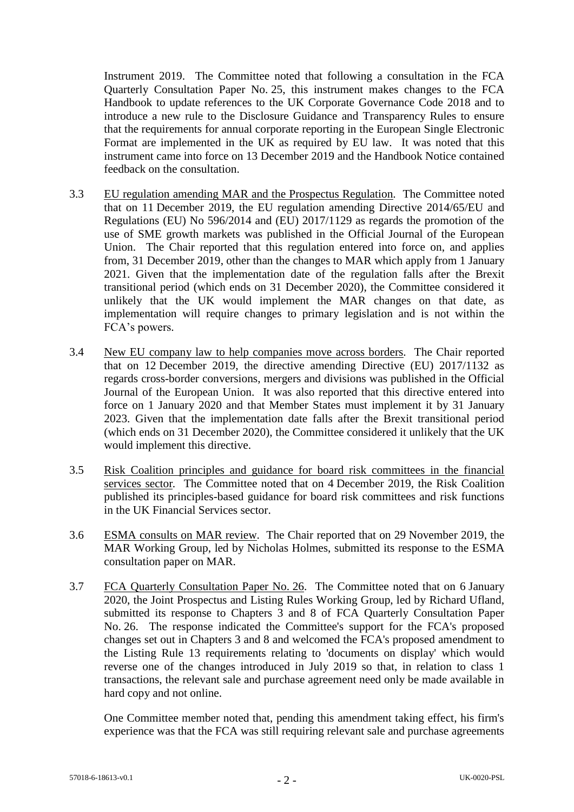Instrument 2019. The Committee noted that following a consultation in the FCA Quarterly Consultation Paper No. 25, this instrument makes changes to the FCA Handbook to update references to the UK Corporate Governance Code 2018 and to introduce a new rule to the Disclosure Guidance and Transparency Rules to ensure that the requirements for annual corporate reporting in the European Single Electronic Format are implemented in the UK as required by EU law. It was noted that this instrument came into force on 13 December 2019 and the Handbook Notice contained feedback on the consultation.

- 3.3 EU regulation amending MAR and the Prospectus Regulation*.* The Committee noted that on 11 December 2019, the EU regulation amending Directive 2014/65/EU and Regulations (EU) No 596/2014 and (EU) 2017/1129 as regards the promotion of the use of SME growth markets was published in the Official Journal of the European Union. The Chair reported that this regulation entered into force on, and applies from, 31 December 2019, other than the changes to MAR which apply from 1 January 2021. Given that the implementation date of the regulation falls after the Brexit transitional period (which ends on 31 December 2020), the Committee considered it unlikely that the UK would implement the MAR changes on that date, as implementation will require changes to primary legislation and is not within the FCA's powers.
- 3.4 New EU company law to help companies move across borders*.* The Chair reported that on 12 December 2019, the directive amending Directive (EU) 2017/1132 as regards cross-border conversions, mergers and divisions was published in the Official Journal of the European Union. It was also reported that this directive entered into force on 1 January 2020 and that Member States must implement it by 31 January 2023. Given that the implementation date falls after the Brexit transitional period (which ends on 31 December 2020), the Committee considered it unlikely that the UK would implement this directive.
- 3.5 Risk Coalition principles and guidance for board risk committees in the financial services sector. The Committee noted that on 4 December 2019, the Risk Coalition published its principles-based guidance for board risk committees and risk functions in the UK Financial Services sector.
- 3.6 ESMA consults on MAR review. The Chair reported that on 29 November 2019, the MAR Working Group, led by Nicholas Holmes, submitted its response to the ESMA consultation paper on MAR.
- 3.7 FCA Quarterly Consultation Paper No. 26. The Committee noted that on 6 January 2020, the Joint Prospectus and Listing Rules Working Group, led by Richard Ufland, submitted its response to Chapters 3 and 8 of FCA Quarterly Consultation Paper No. 26. The response indicated the Committee's support for the FCA's proposed changes set out in Chapters 3 and 8 and welcomed the FCA's proposed amendment to the Listing Rule 13 requirements relating to 'documents on display' which would reverse one of the changes introduced in July 2019 so that, in relation to class 1 transactions, the relevant sale and purchase agreement need only be made available in hard copy and not online.

One Committee member noted that, pending this amendment taking effect, his firm's experience was that the FCA was still requiring relevant sale and purchase agreements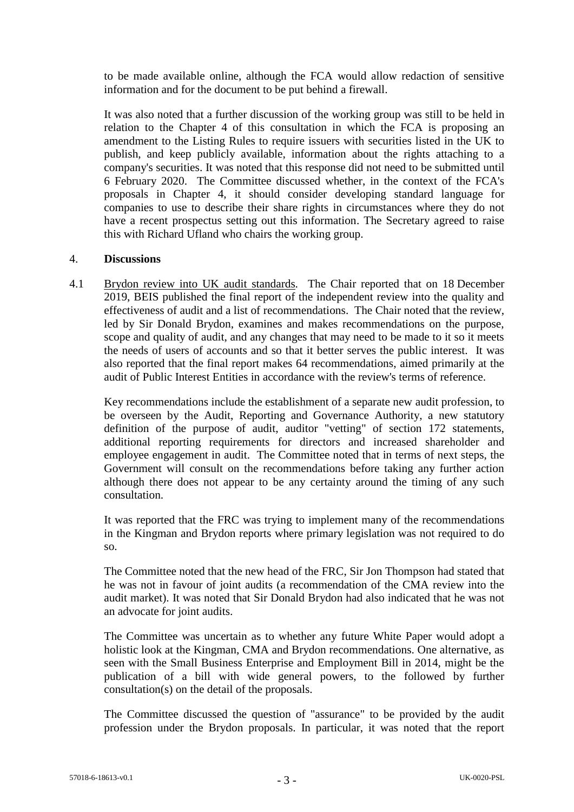to be made available online, although the FCA would allow redaction of sensitive information and for the document to be put behind a firewall.

It was also noted that a further discussion of the working group was still to be held in relation to the Chapter 4 of this consultation in which the FCA is proposing an amendment to the Listing Rules to require issuers with securities listed in the UK to publish, and keep publicly available, information about the rights attaching to a company's securities. It was noted that this response did not need to be submitted until 6 February 2020. The Committee discussed whether, in the context of the FCA's proposals in Chapter 4, it should consider developing standard language for companies to use to describe their share rights in circumstances where they do not have a recent prospectus setting out this information. The Secretary agreed to raise this with Richard Ufland who chairs the working group.

### 4. **Discussions**

4.1 Brydon review into UK audit standards*.* The Chair reported that on 18 December 2019, BEIS published the final report of the independent review into the quality and effectiveness of audit and a list of recommendations. The Chair noted that the review, led by Sir Donald Brydon, examines and makes recommendations on the purpose, scope and quality of audit, and any changes that may need to be made to it so it meets the needs of users of accounts and so that it better serves the public interest. It was also reported that the final report makes 64 recommendations, aimed primarily at the audit of Public Interest Entities in accordance with the review's terms of reference.

Key recommendations include the establishment of a separate new audit profession, to be overseen by the Audit, Reporting and Governance Authority, a new statutory definition of the purpose of audit, auditor "vetting" of section 172 statements, additional reporting requirements for directors and increased shareholder and employee engagement in audit. The Committee noted that in terms of next steps, the Government will consult on the recommendations before taking any further action although there does not appear to be any certainty around the timing of any such consultation.

It was reported that the FRC was trying to implement many of the recommendations in the Kingman and Brydon reports where primary legislation was not required to do so.

The Committee noted that the new head of the FRC, Sir Jon Thompson had stated that he was not in favour of joint audits (a recommendation of the CMA review into the audit market). It was noted that Sir Donald Brydon had also indicated that he was not an advocate for joint audits.

The Committee was uncertain as to whether any future White Paper would adopt a holistic look at the Kingman, CMA and Brydon recommendations. One alternative, as seen with the Small Business Enterprise and Employment Bill in 2014, might be the publication of a bill with wide general powers, to the followed by further consultation(s) on the detail of the proposals.

The Committee discussed the question of "assurance" to be provided by the audit profession under the Brydon proposals. In particular, it was noted that the report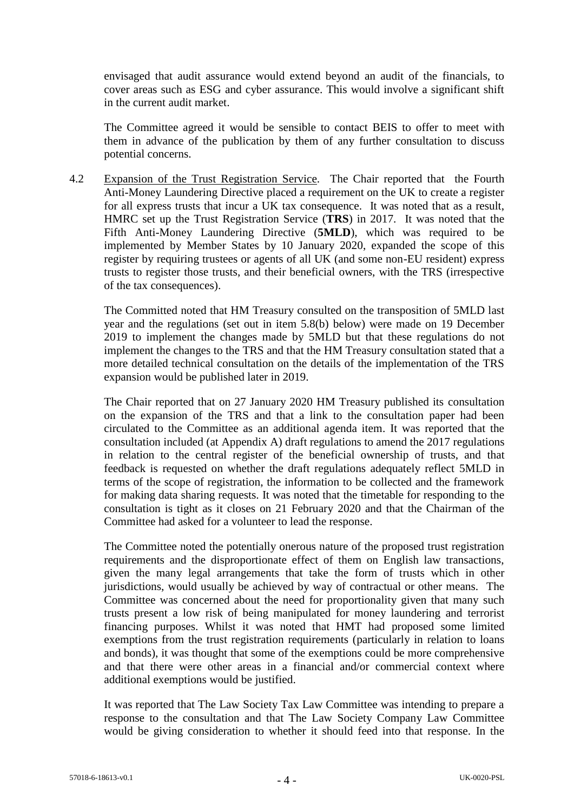envisaged that audit assurance would extend beyond an audit of the financials, to cover areas such as ESG and cyber assurance. This would involve a significant shift in the current audit market.

The Committee agreed it would be sensible to contact BEIS to offer to meet with them in advance of the publication by them of any further consultation to discuss potential concerns.

4.2 Expansion of the Trust Registration Service*.* The Chair reported that the Fourth Anti-Money Laundering Directive placed a requirement on the UK to create a register for all express trusts that incur a UK tax consequence. It was noted that as a result, HMRC set up the Trust Registration Service (**TRS**) in 2017. It was noted that the Fifth Anti-Money Laundering Directive (**5MLD**), which was required to be implemented by Member States by 10 January 2020, expanded the scope of this register by requiring trustees or agents of all UK (and some non-EU resident) express trusts to register those trusts, and their beneficial owners, with the TRS (irrespective of the tax consequences).

The Committed noted that HM Treasury consulted on the transposition of 5MLD last year and the regulations (set out in item 5.8(b) below) were made on 19 December 2019 to implement the changes made by 5MLD but that these regulations do not implement the changes to the TRS and that the HM Treasury consultation stated that a more detailed technical consultation on the details of the implementation of the TRS expansion would be published later in 2019.

The Chair reported that on 27 January 2020 HM Treasury published its consultation on the expansion of the TRS and that a link to the consultation paper had been circulated to the Committee as an additional agenda item. It was reported that the consultation included (at Appendix A) draft regulations to amend the 2017 regulations in relation to the central register of the beneficial ownership of trusts, and that feedback is requested on whether the draft regulations adequately reflect 5MLD in terms of the scope of registration, the information to be collected and the framework for making data sharing requests. It was noted that the timetable for responding to the consultation is tight as it closes on 21 February 2020 and that the Chairman of the Committee had asked for a volunteer to lead the response.

The Committee noted the potentially onerous nature of the proposed trust registration requirements and the disproportionate effect of them on English law transactions, given the many legal arrangements that take the form of trusts which in other jurisdictions, would usually be achieved by way of contractual or other means. The Committee was concerned about the need for proportionality given that many such trusts present a low risk of being manipulated for money laundering and terrorist financing purposes. Whilst it was noted that HMT had proposed some limited exemptions from the trust registration requirements (particularly in relation to loans and bonds), it was thought that some of the exemptions could be more comprehensive and that there were other areas in a financial and/or commercial context where additional exemptions would be justified.

It was reported that The Law Society Tax Law Committee was intending to prepare a response to the consultation and that The Law Society Company Law Committee would be giving consideration to whether it should feed into that response. In the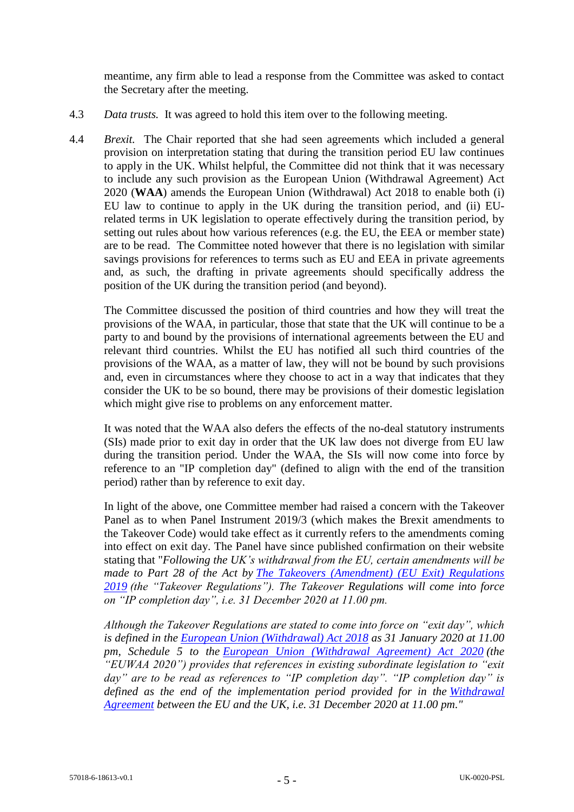meantime, any firm able to lead a response from the Committee was asked to contact the Secretary after the meeting.

- 4.3 *Data trusts.* It was agreed to hold this item over to the following meeting.
- 4.4 *Brexit.* The Chair reported that she had seen agreements which included a general provision on interpretation stating that during the transition period EU law continues to apply in the UK. Whilst helpful, the Committee did not think that it was necessary to include any such provision as the European Union (Withdrawal Agreement) Act 2020 (**WAA**) amends the European Union (Withdrawal) Act 2018 to enable both (i) EU law to continue to apply in the UK during the transition period, and (ii) EUrelated terms in UK legislation to operate effectively during the transition period, by setting out rules about how various references (e.g. the EU, the EEA or member state) are to be read. The Committee noted however that there is no legislation with similar savings provisions for references to terms such as EU and EEA in private agreements and, as such, the drafting in private agreements should specifically address the position of the UK during the transition period (and beyond).

The Committee discussed the position of third countries and how they will treat the provisions of the WAA, in particular, those that state that the UK will continue to be a party to and bound by the provisions of international agreements between the EU and relevant third countries. Whilst the EU has notified all such third countries of the provisions of the WAA, as a matter of law, they will not be bound by such provisions and, even in circumstances where they choose to act in a way that indicates that they consider the UK to be so bound, there may be provisions of their domestic legislation which might give rise to problems on any enforcement matter.

It was noted that the WAA also defers the effects of the no-deal statutory instruments (SIs) made prior to exit day in order that the UK law does not diverge from EU law during the transition period. Under the WAA, the SIs will now come into force by reference to an "IP completion day" (defined to align with the end of the transition period) rather than by reference to exit day.

In light of the above, one Committee member had raised a concern with the Takeover Panel as to when Panel Instrument 2019/3 (which makes the Brexit amendments to the Takeover Code) would take effect as it currently refers to the amendments coming into effect on exit day. The Panel have since published confirmation on their website stating that "*Following the UK's withdrawal from the EU, certain amendments will be made to Part 28 of the Act by [The Takeovers \(Amendment\) \(EU Exit\) Regulations](https://www.legislation.gov.uk/uksi/2019/217/made/data.pdf)  [2019](https://www.legislation.gov.uk/uksi/2019/217/made/data.pdf) (the "Takeover Regulations"). The Takeover Regulations will come into force on "IP completion day", i.e. 31 December 2020 at 11.00 pm.*

*Although the Takeover Regulations are stated to come into force on "exit day", which is defined in the [European Union \(Withdrawal\) Act 2018](http://www.legislation.gov.uk/ukpga/2018/16/contents) as 31 January 2020 at 11.00 pm, Schedule 5 to the [European Union \(Withdrawal Agreement\) Act 2020](http://www.legislation.gov.uk/ukpga/2020/1/introduction/enacted) (the "EUWAA 2020") provides that references in existing subordinate legislation to "exit day" are to be read as references to "IP completion day". "IP completion day" is defined as the end of the implementation period provided for in the [Withdrawal](https://assets.publishing.service.gov.uk/government/uploads/system/uploads/attachment_data/file/840655/Agreement_on_the_withdrawal_of_the_United_Kingdom_of_Great_Britain_and_Northern_Ireland_from_the_European_Union_and_the_European_Atomic_Energy_Community.)  [Agreement](https://assets.publishing.service.gov.uk/government/uploads/system/uploads/attachment_data/file/840655/Agreement_on_the_withdrawal_of_the_United_Kingdom_of_Great_Britain_and_Northern_Ireland_from_the_European_Union_and_the_European_Atomic_Energy_Community.) between the EU and the UK, i.e. 31 December 2020 at 11.00 pm."*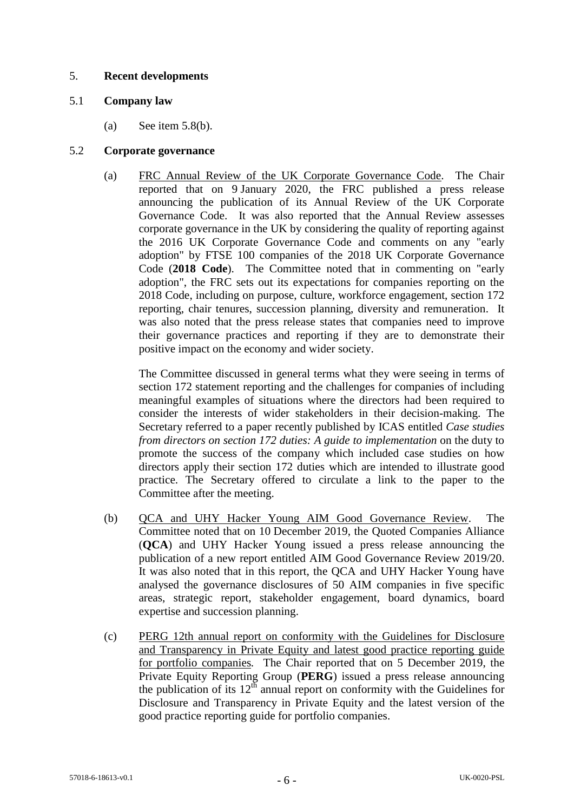# 5. **Recent developments**

## 5.1 **Company law**

(a) See item  $5.8(b)$ .

## 5.2 **Corporate governance**

(a) FRC Annual Review of the UK Corporate Governance Code*.* The Chair reported that on 9 January 2020, the FRC published a press release announcing the publication of its Annual Review of the UK Corporate Governance Code. It was also reported that the Annual Review assesses corporate governance in the UK by considering the quality of reporting against the 2016 UK Corporate Governance Code and comments on any "early adoption" by FTSE 100 companies of the 2018 UK Corporate Governance Code (**2018 Code**). The Committee noted that in commenting on "early adoption", the FRC sets out its expectations for companies reporting on the 2018 Code, including on purpose, culture, workforce engagement, section 172 reporting, chair tenures, succession planning, diversity and remuneration. It was also noted that the press release states that companies need to improve their governance practices and reporting if they are to demonstrate their positive impact on the economy and wider society.

The Committee discussed in general terms what they were seeing in terms of section 172 statement reporting and the challenges for companies of including meaningful examples of situations where the directors had been required to consider the interests of wider stakeholders in their decision-making. The Secretary referred to a paper recently published by ICAS entitled *Case studies from directors on section 172 duties: A guide to implementation* on the duty to promote the success of the company which included case studies on how directors apply their section 172 duties which are intended to illustrate good practice. The Secretary offered to circulate a link to the paper to the Committee after the meeting.

- (b) QCA and UHY Hacker Young AIM Good Governance Review*.* The Committee noted that on 10 December 2019, the Quoted Companies Alliance (**QCA**) and UHY Hacker Young issued a press release announcing the publication of a new report entitled AIM Good Governance Review 2019/20. It was also noted that in this report, the QCA and UHY Hacker Young have analysed the governance disclosures of 50 AIM companies in five specific areas, strategic report, stakeholder engagement, board dynamics, board expertise and succession planning.
- (c) PERG 12th annual report on conformity with the Guidelines for Disclosure and Transparency in Private Equity and latest good practice reporting guide for portfolio companies*.* The Chair reported that on 5 December 2019, the Private Equity Reporting Group (**PERG**) issued a press release announcing the publication of its  $12<sup>th</sup>$  annual report on conformity with the Guidelines for Disclosure and Transparency in Private Equity and the latest version of the good practice reporting guide for portfolio companies.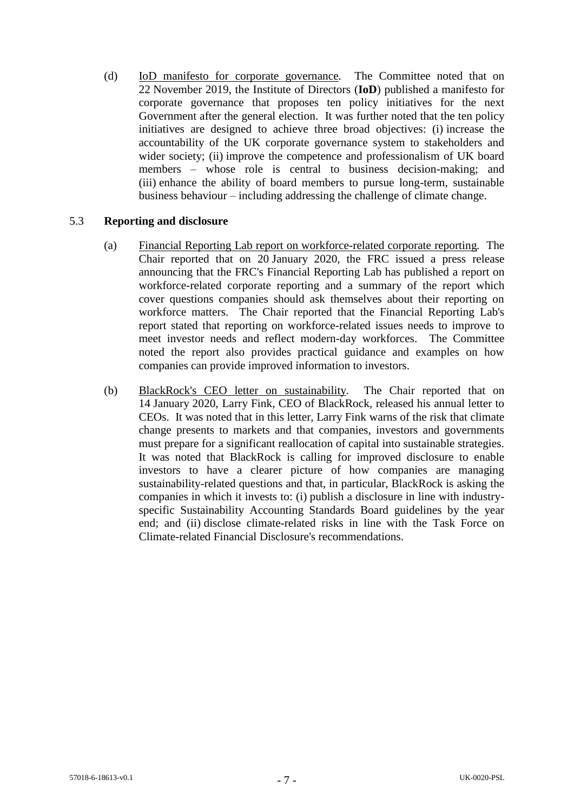(d) IoD manifesto for corporate governance*.* The Committee noted that on 22 November 2019, the Institute of Directors (**IoD**) published a manifesto for corporate governance that proposes ten policy initiatives for the next Government after the general election. It was further noted that the ten policy initiatives are designed to achieve three broad objectives: (i) increase the accountability of the UK corporate governance system to stakeholders and wider society; (ii) improve the competence and professionalism of UK board members – whose role is central to business decision-making; and (iii) enhance the ability of board members to pursue long-term, sustainable business behaviour – including addressing the challenge of climate change.

# 5.3 **Reporting and disclosure**

- (a) Financial Reporting Lab report on workforce-related corporate reporting*.* The Chair reported that on 20 January 2020, the FRC issued a press release announcing that the FRC's Financial Reporting Lab has published a report on workforce-related corporate reporting and a summary of the report which cover questions companies should ask themselves about their reporting on workforce matters. The Chair reported that the Financial Reporting Lab's report stated that reporting on workforce-related issues needs to improve to meet investor needs and reflect modern-day workforces. The Committee noted the report also provides practical guidance and examples on how companies can provide improved information to investors.
- (b) BlackRock's CEO letter on sustainability*.* The Chair reported that on 14 January 2020, Larry Fink, CEO of BlackRock, released his annual letter to CEOs. It was noted that in this letter, Larry Fink warns of the risk that climate change presents to markets and that companies, investors and governments must prepare for a significant reallocation of capital into sustainable strategies. It was noted that BlackRock is calling for improved disclosure to enable investors to have a clearer picture of how companies are managing sustainability-related questions and that, in particular, BlackRock is asking the companies in which it invests to: (i) publish a disclosure in line with industryspecific Sustainability Accounting Standards Board guidelines by the year end; and (ii) disclose climate-related risks in line with the Task Force on Climate-related Financial Disclosure's recommendations.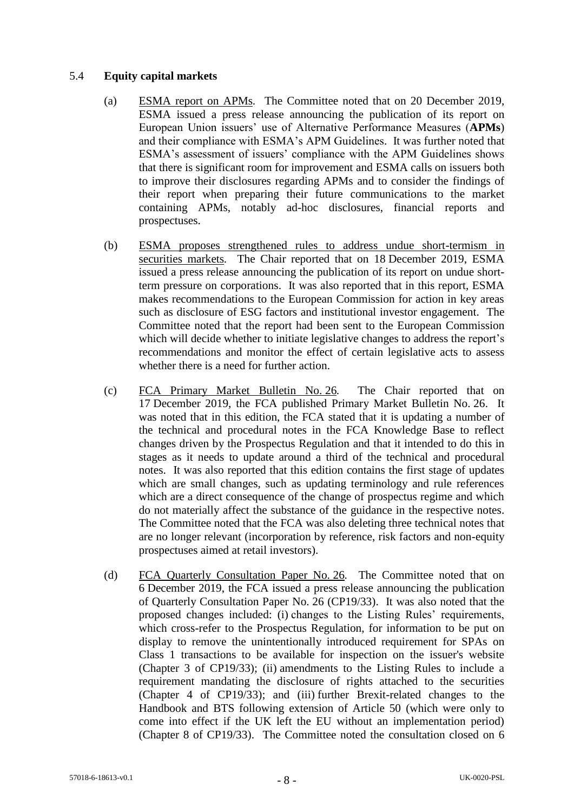## 5.4 **Equity capital markets**

- (a) ESMA report on APMs*.* The Committee noted that on 20 December 2019, ESMA issued a press release announcing the publication of its report on European Union issuers' use of Alternative Performance Measures (**APMs**) and their compliance with ESMA's APM Guidelines. It was further noted that ESMA's assessment of issuers' compliance with the APM Guidelines shows that there is significant room for improvement and ESMA calls on issuers both to improve their disclosures regarding APMs and to consider the findings of their report when preparing their future communications to the market containing APMs, notably ad-hoc disclosures, financial reports and prospectuses.
- (b) ESMA proposes strengthened rules to address undue short-termism in securities markets*.* The Chair reported that on 18 December 2019, ESMA issued a press release announcing the publication of its report on undue shortterm pressure on corporations. It was also reported that in this report, ESMA makes recommendations to the European Commission for action in key areas such as disclosure of ESG factors and institutional investor engagement. The Committee noted that the report had been sent to the European Commission which will decide whether to initiate legislative changes to address the report's recommendations and monitor the effect of certain legislative acts to assess whether there is a need for further action.
- (c) FCA Primary Market Bulletin No. 26*.* The Chair reported that on 17 December 2019, the FCA published Primary Market Bulletin No. 26. It was noted that in this edition, the FCA stated that it is updating a number of the technical and procedural notes in the FCA Knowledge Base to reflect changes driven by the Prospectus Regulation and that it intended to do this in stages as it needs to update around a third of the technical and procedural notes. It was also reported that this edition contains the first stage of updates which are small changes, such as updating terminology and rule references which are a direct consequence of the change of prospectus regime and which do not materially affect the substance of the guidance in the respective notes. The Committee noted that the FCA was also deleting three technical notes that are no longer relevant (incorporation by reference, risk factors and non-equity prospectuses aimed at retail investors).
- (d) FCA Quarterly Consultation Paper No. 26*.* The Committee noted that on 6 December 2019, the FCA issued a press release announcing the publication of Quarterly Consultation Paper No. 26 (CP19/33). It was also noted that the proposed changes included: (i) changes to the Listing Rules' requirements, which cross-refer to the Prospectus Regulation, for information to be put on display to remove the unintentionally introduced requirement for SPAs on Class 1 transactions to be available for inspection on the issuer's website (Chapter 3 of CP19/33); (ii) amendments to the Listing Rules to include a requirement mandating the disclosure of rights attached to the securities (Chapter 4 of CP19/33); and (iii) further Brexit-related changes to the Handbook and BTS following extension of Article 50 (which were only to come into effect if the UK left the EU without an implementation period) (Chapter 8 of CP19/33). The Committee noted the consultation closed on 6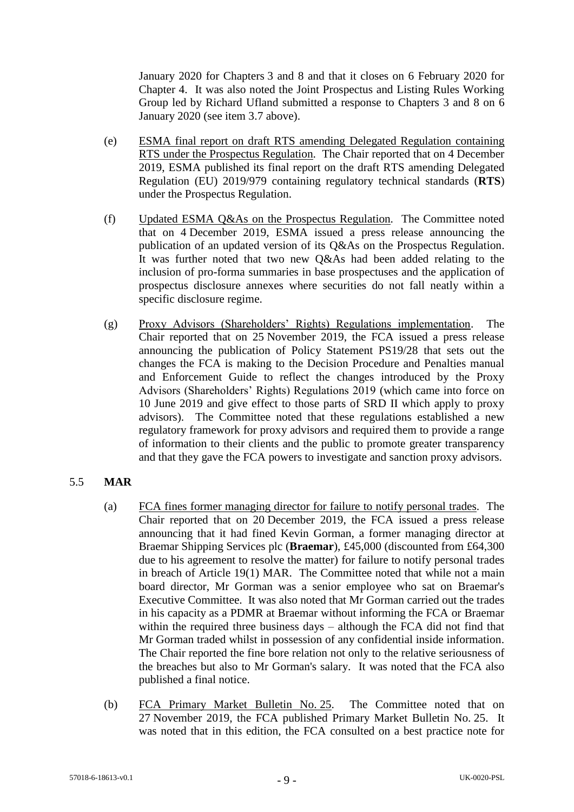January 2020 for Chapters 3 and 8 and that it closes on 6 February 2020 for Chapter 4. It was also noted the Joint Prospectus and Listing Rules Working Group led by Richard Ufland submitted a response to Chapters 3 and 8 on 6 January 2020 (see item 3.7 above).

- (e) ESMA final report on draft RTS amending Delegated Regulation containing RTS under the Prospectus Regulation*.* The Chair reported that on 4 December 2019, ESMA published its final report on the draft RTS amending Delegated Regulation (EU) 2019/979 containing regulatory technical standards (**RTS**) under the Prospectus Regulation.
- (f) Updated ESMA Q&As on the Prospectus Regulation*.* The Committee noted that on 4 December 2019, ESMA issued a press release announcing the publication of an updated version of its Q&As on the Prospectus Regulation. It was further noted that two new Q&As had been added relating to the inclusion of pro-forma summaries in base prospectuses and the application of prospectus disclosure annexes where securities do not fall neatly within a specific disclosure regime.
- (g) Proxy Advisors (Shareholders' Rights) Regulations implementation. The Chair reported that on 25 November 2019, the FCA issued a press release announcing the publication of Policy Statement PS19/28 that sets out the changes the FCA is making to the Decision Procedure and Penalties manual and Enforcement Guide to reflect the changes introduced by the Proxy Advisors (Shareholders' Rights) Regulations 2019 (which came into force on 10 June 2019 and give effect to those parts of SRD II which apply to proxy advisors). The Committee noted that these regulations established a new regulatory framework for proxy advisors and required them to provide a range of information to their clients and the public to promote greater transparency and that they gave the FCA powers to investigate and sanction proxy advisors.

### 5.5 **MAR**

- (a) FCA fines former managing director for failure to notify personal trades*.* The Chair reported that on 20 December 2019, the FCA issued a press release announcing that it had fined Kevin Gorman, a former managing director at Braemar Shipping Services plc (**Braemar**), £45,000 (discounted from £64,300 due to his agreement to resolve the matter) for failure to notify personal trades in breach of Article 19(1) MAR. The Committee noted that while not a main board director, Mr Gorman was a senior employee who sat on Braemar's Executive Committee. It was also noted that Mr Gorman carried out the trades in his capacity as a PDMR at Braemar without informing the FCA or Braemar within the required three business days – although the FCA did not find that Mr Gorman traded whilst in possession of any confidential inside information. The Chair reported the fine bore relation not only to the relative seriousness of the breaches but also to Mr Gorman's salary. It was noted that the FCA also published a final notice.
- (b) FCA Primary Market Bulletin No. 25. The Committee noted that on 27 November 2019, the FCA published Primary Market Bulletin No. 25. It was noted that in this edition, the FCA consulted on a best practice note for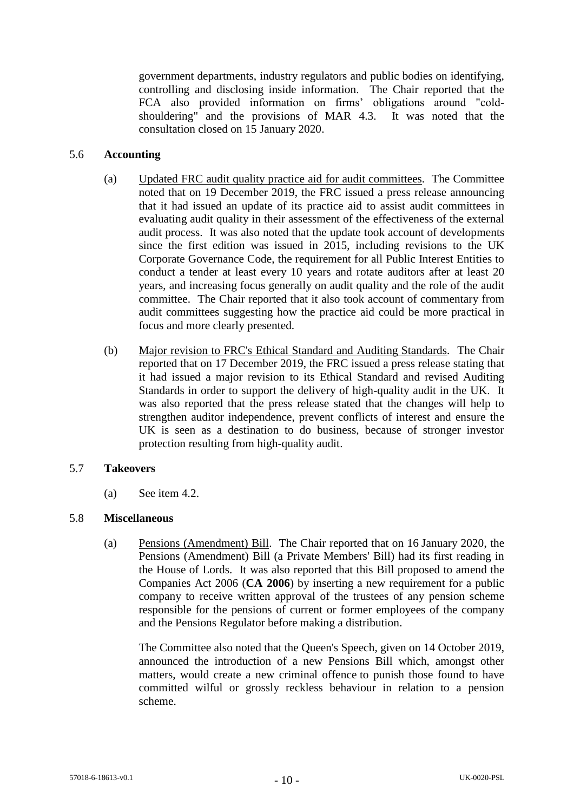government departments, industry regulators and public bodies on identifying, controlling and disclosing inside information. The Chair reported that the FCA also provided information on firms' obligations around "coldshouldering" and the provisions of MAR 4.3. It was noted that the consultation closed on 15 January 2020.

## 5.6 **Accounting**

- (a) Updated FRC audit quality practice aid for audit committees*.* The Committee noted that on 19 December 2019, the FRC issued a press release announcing that it had issued an update of its practice aid to assist audit committees in evaluating audit quality in their assessment of the effectiveness of the external audit process. It was also noted that the update took account of developments since the first edition was issued in 2015, including revisions to the UK Corporate Governance Code, the requirement for all Public Interest Entities to conduct a tender at least every 10 years and rotate auditors after at least 20 years, and increasing focus generally on audit quality and the role of the audit committee. The Chair reported that it also took account of commentary from audit committees suggesting how the practice aid could be more practical in focus and more clearly presented.
- (b) Major revision to FRC's Ethical Standard and Auditing Standards*.* The Chair reported that on 17 December 2019, the FRC issued a press release stating that it had issued a major revision to its Ethical Standard and revised Auditing Standards in order to support the delivery of high-quality audit in the UK. It was also reported that the press release stated that the changes will help to strengthen auditor independence, prevent conflicts of interest and ensure the UK is seen as a destination to do business, because of stronger investor protection resulting from high-quality audit.

### 5.7 **Takeovers**

(a) See item 4.2.

### 5.8 **Miscellaneous**

(a) Pensions (Amendment) Bill. The Chair reported that on 16 January 2020, the Pensions (Amendment) Bill (a Private Members' Bill) had its first reading in the House of Lords. It was also reported that this Bill proposed to amend the Companies Act 2006 (**CA 2006**) by inserting a new requirement for a public company to receive written approval of the trustees of any pension scheme responsible for the pensions of current or former employees of the company and the Pensions Regulator before making a distribution.

The Committee also noted that the Queen's Speech, given on 14 October 2019, announced the introduction of a new Pensions Bill which, amongst other matters, would create a new criminal offence to punish those found to have committed wilful or grossly reckless behaviour in relation to a pension scheme.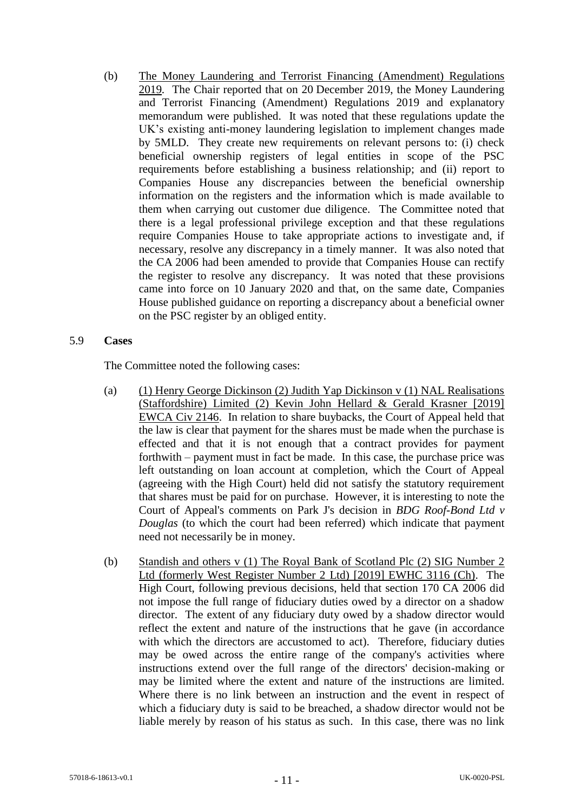(b) The Money Laundering and Terrorist Financing (Amendment) Regulations 2019*.* The Chair reported that on 20 December 2019, the Money Laundering and Terrorist Financing (Amendment) Regulations 2019 and explanatory memorandum were published. It was noted that these regulations update the UK's existing anti-money laundering legislation to implement changes made by 5MLD. They create new requirements on relevant persons to: (i) check beneficial ownership registers of legal entities in scope of the PSC requirements before establishing a business relationship; and (ii) report to Companies House any discrepancies between the beneficial ownership information on the registers and the information which is made available to them when carrying out customer due diligence. The Committee noted that there is a legal professional privilege exception and that these regulations require Companies House to take appropriate actions to investigate and, if necessary, resolve any discrepancy in a timely manner. It was also noted that the CA 2006 had been amended to provide that Companies House can rectify the register to resolve any discrepancy. It was noted that these provisions came into force on 10 January 2020 and that, on the same date, Companies House published guidance on reporting a discrepancy about a beneficial owner on the PSC register by an obliged entity.

#### 5.9 **Cases**

The Committee noted the following cases:

- (a) (1) Henry George Dickinson (2) Judith Yap Dickinson v (1) NAL Realisations (Staffordshire) Limited (2) Kevin John Hellard & Gerald Krasner [2019] EWCA Civ 2146. In relation to share buybacks, the Court of Appeal held that the law is clear that payment for the shares must be made when the purchase is effected and that it is not enough that a contract provides for payment forthwith – payment must in fact be made. In this case, the purchase price was left outstanding on loan account at completion, which the Court of Appeal (agreeing with the High Court) held did not satisfy the statutory requirement that shares must be paid for on purchase. However, it is interesting to note the Court of Appeal's comments on Park J's decision in *BDG Roof-Bond Ltd v Douglas* (to which the court had been referred) which indicate that payment need not necessarily be in money.
- (b) Standish and others v (1) The Royal Bank of Scotland Plc (2) SIG Number 2 Ltd (formerly West Register Number 2 Ltd) [2019] EWHC 3116 (Ch). The High Court, following previous decisions, held that section 170 CA 2006 did not impose the full range of fiduciary duties owed by a director on a shadow director. The extent of any fiduciary duty owed by a shadow director would reflect the extent and nature of the instructions that he gave (in accordance with which the directors are accustomed to act). Therefore, fiduciary duties may be owed across the entire range of the company's activities where instructions extend over the full range of the directors' decision-making or may be limited where the extent and nature of the instructions are limited. Where there is no link between an instruction and the event in respect of which a fiduciary duty is said to be breached, a shadow director would not be liable merely by reason of his status as such. In this case, there was no link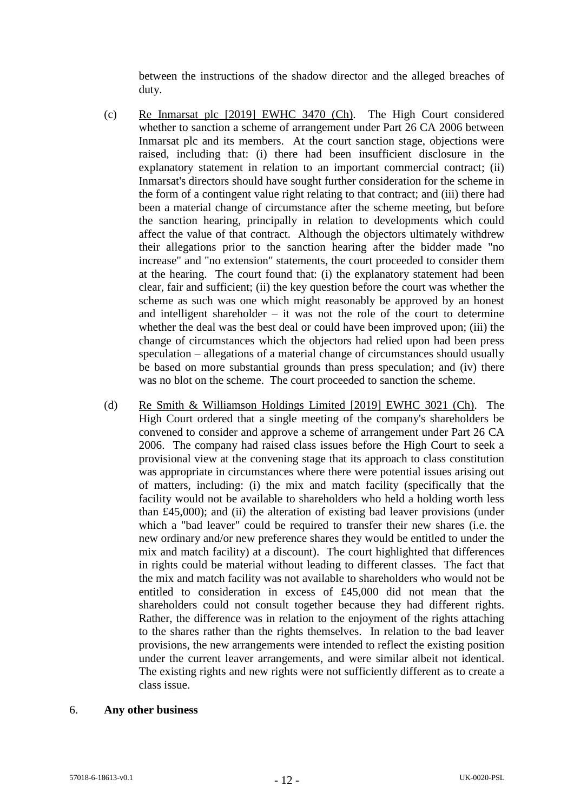between the instructions of the shadow director and the alleged breaches of duty.

- (c) Re Inmarsat plc [2019] EWHC 3470 (Ch). The High Court considered whether to sanction a scheme of arrangement under Part 26 CA 2006 between Inmarsat plc and its members. At the court sanction stage, objections were raised, including that: (i) there had been insufficient disclosure in the explanatory statement in relation to an important commercial contract; (ii) Inmarsat's directors should have sought further consideration for the scheme in the form of a contingent value right relating to that contract; and (iii) there had been a material change of circumstance after the scheme meeting, but before the sanction hearing, principally in relation to developments which could affect the value of that contract. Although the objectors ultimately withdrew their allegations prior to the sanction hearing after the bidder made "no increase" and "no extension" statements, the court proceeded to consider them at the hearing. The court found that: (i) the explanatory statement had been clear, fair and sufficient; (ii) the key question before the court was whether the scheme as such was one which might reasonably be approved by an honest and intelligent shareholder  $-$  it was not the role of the court to determine whether the deal was the best deal or could have been improved upon; (iii) the change of circumstances which the objectors had relied upon had been press speculation – allegations of a material change of circumstances should usually be based on more substantial grounds than press speculation; and (iv) there was no blot on the scheme. The court proceeded to sanction the scheme.
- (d) Re Smith & Williamson Holdings Limited [2019] EWHC 3021 (Ch). The High Court ordered that a single meeting of the company's shareholders be convened to consider and approve a scheme of arrangement under Part 26 CA 2006. The company had raised class issues before the High Court to seek a provisional view at the convening stage that its approach to class constitution was appropriate in circumstances where there were potential issues arising out of matters, including: (i) the mix and match facility (specifically that the facility would not be available to shareholders who held a holding worth less than £45,000); and (ii) the alteration of existing bad leaver provisions (under which a "bad leaver" could be required to transfer their new shares (i.e. the new ordinary and/or new preference shares they would be entitled to under the mix and match facility) at a discount). The court highlighted that differences in rights could be material without leading to different classes. The fact that the mix and match facility was not available to shareholders who would not be entitled to consideration in excess of £45,000 did not mean that the shareholders could not consult together because they had different rights. Rather, the difference was in relation to the enjoyment of the rights attaching to the shares rather than the rights themselves. In relation to the bad leaver provisions, the new arrangements were intended to reflect the existing position under the current leaver arrangements, and were similar albeit not identical. The existing rights and new rights were not sufficiently different as to create a class issue.

#### 6. **Any other business**